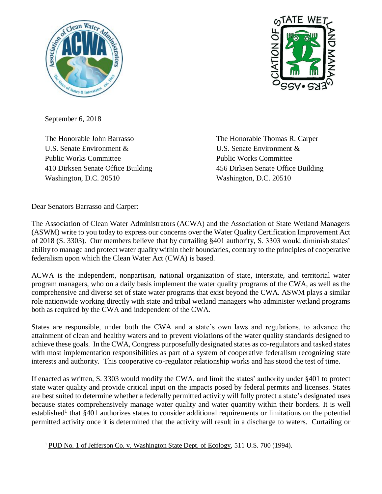



September 6, 2018

The Honorable John Barrasso U.S. Senate Environment & Public Works Committee 410 Dirksen Senate Office Building Washington, D.C. 20510

The Honorable Thomas R. Carper U.S. Senate Environment & Public Works Committee 456 Dirksen Senate Office Building Washington, D.C. 20510

Dear Senators Barrasso and Carper:

 $\overline{\phantom{a}}$ 

The Association of Clean Water Administrators (ACWA) and the Association of State Wetland Managers (ASWM) write to you today to express our concerns over the Water Quality Certification Improvement Act of 2018 (S. 3303). Our members believe that by curtailing §401 authority, S. 3303 would diminish states' ability to manage and protect water quality within their boundaries, contrary to the principles of cooperative federalism upon which the Clean Water Act (CWA) is based.

ACWA is the independent, nonpartisan, national organization of state, interstate, and territorial water program managers, who on a daily basis implement the water quality programs of the CWA, as well as the comprehensive and diverse set of state water programs that exist beyond the CWA. ASWM plays a similar role nationwide working directly with state and tribal wetland managers who administer wetland programs both as required by the CWA and independent of the CWA.

States are responsible, under both the CWA and a state's own laws and regulations, to advance the attainment of clean and healthy waters and to prevent violations of the water quality standards designed to achieve these goals. In the CWA, Congress purposefully designated states as co-regulators and tasked states with most implementation responsibilities as part of a system of cooperative federalism recognizing state interests and authority. This cooperative co-regulator relationship works and has stood the test of time.

If enacted as written, S. 3303 would modify the CWA, and limit the states' authority under §401 to protect state water quality and provide critical input on the impacts posed by federal permits and licenses. States are best suited to determine whether a federally permitted activity will fully protect a state's designated uses because states comprehensively manage water quality and water quantity within their borders. It is well established<sup>1</sup> that §401 authorizes states to consider additional requirements or limitations on the potential permitted activity once it is determined that the activity will result in a discharge to waters. Curtailing or

<sup>&</sup>lt;sup>1</sup> PUD No. 1 of Jefferson Co. v. Washington State Dept. of Ecology, 511 U.S. 700 (1994).